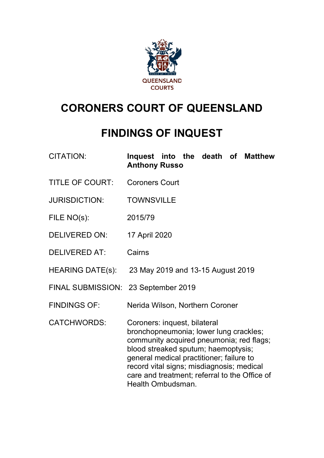

# **CORONERS COURT OF QUEENSLAND**

## **FINDINGS OF INQUEST**

- CITATION: **Inquest into the death of Matthew Anthony Russo**
- TITLE OF COURT: Coroners Court
- JURISDICTION: TOWNSVILLE
- FILE NO(s): 2015/79
- DELIVERED ON: 17 April 2020
- DELIVERED AT: Cairns
- HEARING DATE(s): 23 May 2019 and 13-15 August 2019
- FINAL SUBMISSION: 23 September 2019
- FINDINGS OF: Nerida Wilson, Northern Coroner
- CATCHWORDS: Coroners: inquest, bilateral bronchopneumonia; lower lung crackles; community acquired pneumonia; red flags; blood streaked sputum; haemoptysis; general medical practitioner; failure to record vital signs; misdiagnosis; medical care and treatment; referral to the Office of Health Ombudsman.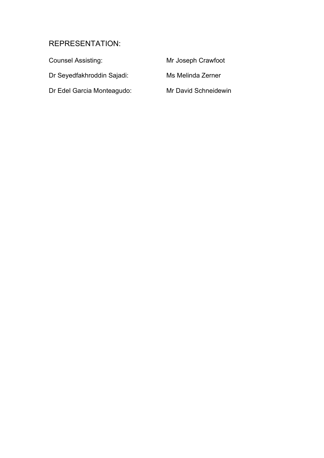## REPRESENTATION:

| <b>Counsel Assisting:</b>  | Mr Joseph Crawfoot   |
|----------------------------|----------------------|
| Dr Seyedfakhroddin Sajadi: | Ms Melinda Zerner    |
| Dr Edel Garcia Monteagudo: | Mr David Schneidewin |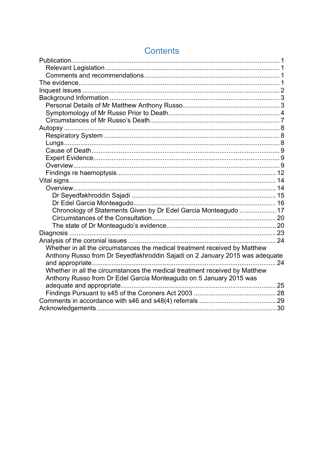| Chronology of Statements Given by Dr Edel Garcia Monteagudo  17             |  |
|-----------------------------------------------------------------------------|--|
|                                                                             |  |
|                                                                             |  |
|                                                                             |  |
|                                                                             |  |
| Whether in all the circumstances the medical treatment received by Matthew  |  |
| Anthony Russo from Dr Seyedfakhroddin Sajadi on 2 January 2015 was adequate |  |
|                                                                             |  |
| Whether in all the circumstances the medical treatment received by Matthew  |  |
| Anthony Russo from Dr Edel Garcia Monteagudo on 5 January 2015 was          |  |
|                                                                             |  |
|                                                                             |  |
|                                                                             |  |
|                                                                             |  |

## **Contents**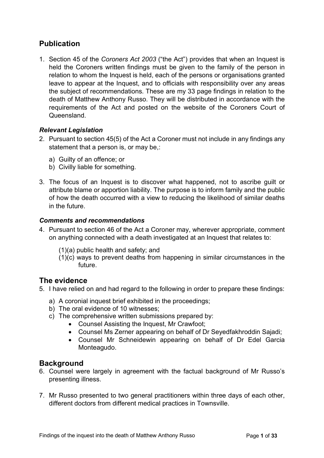## <span id="page-3-0"></span>**Publication**

1. Section 45 of the *Coroners Act 2003* ("the Act") provides that when an Inquest is held the Coroners written findings must be given to the family of the person in relation to whom the Inquest is held, each of the persons or organisations granted leave to appear at the Inquest, and to officials with responsibility over any areas the subject of recommendations. These are my 33 page findings in relation to the death of Matthew Anthony Russo. They will be distributed in accordance with the requirements of the Act and posted on the website of the Coroners Court of Queensland.

## <span id="page-3-1"></span>*Relevant Legislation*

- 2. Pursuant to section 45(5) of the Act a Coroner must not include in any findings any statement that a person is, or may be,:
	- a) Guilty of an offence; or
	- b) Civilly liable for something.
- 3. The focus of an Inquest is to discover what happened, not to ascribe guilt or attribute blame or apportion liability. The purpose is to inform family and the public of how the death occurred with a view to reducing the likelihood of similar deaths in the future.

#### <span id="page-3-2"></span>*Comments and recommendations*

- 4. Pursuant to section 46 of the Act a Coroner may, wherever appropriate, comment on anything connected with a death investigated at an Inquest that relates to:
	- (1)(a) public health and safety; and
	- (1)(c) ways to prevent deaths from happening in similar circumstances in the future.

## <span id="page-3-3"></span>**The evidence**

- 5. I have relied on and had regard to the following in order to prepare these findings:
	- a) A coronial inquest brief exhibited in the proceedings;
	- b) The oral evidence of 10 witnesses;
	- c) The comprehensive written submissions prepared by:
		- Counsel Assisting the Inquest, Mr Crawfoot;
		- Counsel Ms Zerner appearing on behalf of Dr Seyedfakhroddin Sajadi;
		- Counsel Mr Schneidewin appearing on behalf of Dr Edel Garcia Monteagudo.

## **Background**

- 6. Counsel were largely in agreement with the factual background of Mr Russo's presenting illness.
- 7. Mr Russo presented to two general practitioners within three days of each other, different doctors from different medical practices in Townsville.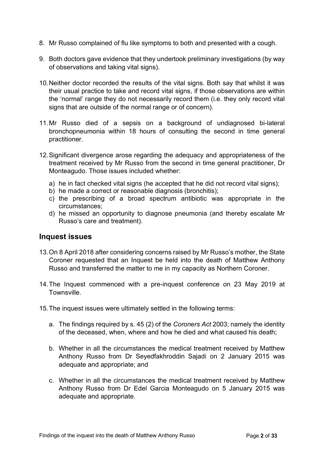- 8. Mr Russo complained of flu like symptoms to both and presented with a cough.
- 9. Both doctors gave evidence that they undertook preliminary investigations (by way of observations and taking vital signs).
- 10.Neither doctor recorded the results of the vital signs. Both say that whilst it was their usual practice to take and record vital signs, if those observations are within the 'normal' range they do not necessarily record them (i.e. they only record vital signs that are outside of the normal range or of concern).
- 11.Mr Russo died of a sepsis on a background of undiagnosed bi-lateral bronchopneumonia within 18 hours of consulting the second in time general practitioner.
- 12.Significant divergence arose regarding the adequacy and appropriateness of the treatment received by Mr Russo from the second in time general practitioner, Dr Monteagudo. Those issues included whether:
	- a) he in fact checked vital signs (he accepted that he did not record vital signs);
	- b) he made a correct or reasonable diagnosis (bronchitis);
	- c) the prescribing of a broad spectrum antibiotic was appropriate in the circumstances;
	- d) he missed an opportunity to diagnose pneumonia (and thereby escalate Mr Russo's care and treatment).

## <span id="page-4-0"></span>**Inquest issues**

- 13.On 8 April 2018 after considering concerns raised by Mr Russo's mother, the State Coroner requested that an Inquest be held into the death of Matthew Anthony Russo and transferred the matter to me in my capacity as Northern Coroner.
- 14.The Inquest commenced with a pre-inquest conference on 23 May 2019 at Townsville.
- 15.The inquest issues were ultimately settled in the following terms:
	- a. The findings required by s. 45 (2) of the *Coroners Act* 2003; namely the identity of the deceased, when, where and how he died and what caused his death;
	- b. Whether in all the circumstances the medical treatment received by Matthew Anthony Russo from Dr Seyedfakhroddin Sajadi on 2 January 2015 was adequate and appropriate; and
	- c. Whether in all the circumstances the medical treatment received by Matthew Anthony Russo from Dr Edel Garcia Monteagudo on 5 January 2015 was adequate and appropriate.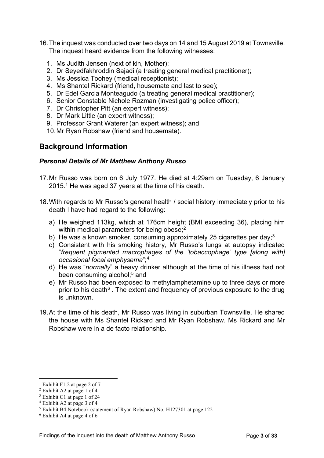- 16.The inquest was conducted over two days on 14 and 15 August 2019 at Townsville. The inquest heard evidence from the following witnesses:
	- 1. Ms Judith Jensen (next of kin, Mother);
	- 2. Dr Seyedfakhroddin Sajadi (a treating general medical practitioner);
	- 3. Ms Jessica Toohey (medical receptionist);
	- 4. Ms Shantel Rickard (friend, housemate and last to see);
	- 5. Dr Edel Garcia Monteagudo (a treating general medical practitioner);
	- 6. Senior Constable Nichole Rozman (investigating police officer);
	- 7. Dr Christopher Pitt (an expert witness);
	- 8. Dr Mark Little (an expert witness);
	- 9. Professor Grant Waterer (an expert witness); and
	- 10.Mr Ryan Robshaw (friend and housemate).

## <span id="page-5-1"></span><span id="page-5-0"></span>**Background Information**

#### *Personal Details of Mr Matthew Anthony Russo*

- 17.Mr Russo was born on 6 July 1977. He died at 4:29am on Tuesday, 6 January 2015[.1](#page-5-2) He was aged 37 years at the time of his death.
- 18.With regards to Mr Russo's general health / social history immediately prior to his death I have had regard to the following:
	- a) He weighed 113kg, which at 176cm height (BMI exceeding 36), placing him within medical parameters for being obese;<sup>[2](#page-5-3)</sup>
	- b) He was a known smoker, consuming approximately 25 cigarettes per day;  $3 \times 3$  $3 \times 3$
	- c) Consistent with his smoking history, Mr Russo's lungs at autopsy indicated "*frequent pigmented macrophages of the 'tobaccophage' type [along with] occasional focal emphysema*";[4](#page-5-5)
	- d) He was "*normally*" a heavy drinker although at the time of his illness had not been consuming alcohol:<sup>[5](#page-5-6)</sup> and
	- e) Mr Russo had been exposed to methylamphetamine up to three days or more prior to his death $6$ . The extent and frequency of previous exposure to the drug is unknown.
- 19.At the time of his death, Mr Russo was living in suburban Townsville. He shared the house with Ms Shantel Rickard and Mr Ryan Robshaw. Ms Rickard and Mr Robshaw were in a de facto relationship.

<span id="page-5-2"></span><sup>&</sup>lt;sup>1</sup> Exhibit F1.2 at page 2 of 7

<span id="page-5-3"></span><sup>2</sup> Exhibit A2 at page 1 of 4

<span id="page-5-4"></span><sup>3</sup> Exhibit C1 at page 1 of 24

<span id="page-5-5"></span><sup>4</sup> Exhibit A2 at page 3 of 4

<span id="page-5-6"></span><sup>5</sup> Exhibit B4 Notebook (statement of Ryan Robshaw) No. H127301 at page 122

<span id="page-5-7"></span><sup>6</sup> Exhibit A4 at page 4 of 6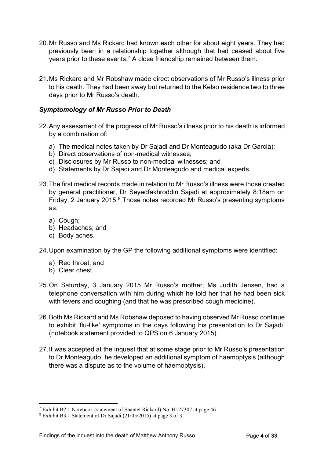- 20.Mr Russo and Ms Rickard had known each other for about eight years. They had previously been in a relationship together although that had ceased about five years prior to these events.[7](#page-6-1) A close friendship remained between them.
- 21.Ms Rickard and Mr Robshaw made direct observations of Mr Russo's illness prior to his death. They had been away but returned to the Kelso residence two to three days prior to Mr Russo's death.

#### <span id="page-6-0"></span>*Symptomology of Mr Russo Prior to Death*

- 22.Any assessment of the progress of Mr Russo's illness prior to his death is informed by a combination of:
	- a) The medical notes taken by Dr Sajadi and Dr Monteagudo (aka Dr Garcia);
	- b) Direct observations of non-medical witnesses;
	- c) Disclosures by Mr Russo to non-medical witnesses; and
	- d) Statements by Dr Sajadi and Dr Monteagudo and medical experts.
- 23.The first medical records made in relation to Mr Russo's illness were those created by general practitioner, Dr Seyedfakhroddin Sajadi at approximately 8:18am on Friday, 2 January 2015.<sup>[8](#page-6-2)</sup> Those notes recorded Mr Russo's presenting symptoms as:
	- a) Cough;
	- b) Headaches; and
	- c) Body aches.
- 24.Upon examination by the GP the following additional symptoms were identified:
	- a) Red throat; and
	- b) Clear chest.
- 25.On Saturday, 3 January 2015 Mr Russo's mother, Ms Judith Jensen, had a telephone conversation with him during which he told her that he had been sick with fevers and coughing (and that he was prescribed cough medicine).
- 26.Both Ms Rickard and Ms Robshaw deposed to having observed Mr Russo continue to exhibit 'flu-like' symptoms in the days following his presentation to Dr Sajadi. (notebook statement provided to QPS on 6 January 2015).
- 27.It was accepted at the inquest that at some stage prior to Mr Russo's presentation to Dr Monteagudo, he developed an additional symptom of haemoptysis (although there was a dispute as to the volume of haemoptysis).

<span id="page-6-1"></span><sup>7</sup> Exhibit B2.1 Notebook (statement of Shantel Rickard) No. H127307 at page 46

<span id="page-6-2"></span><sup>8</sup> Exhibit B3.1 Statement of Dr Sajadi (21/05/2015) at page 3 of 3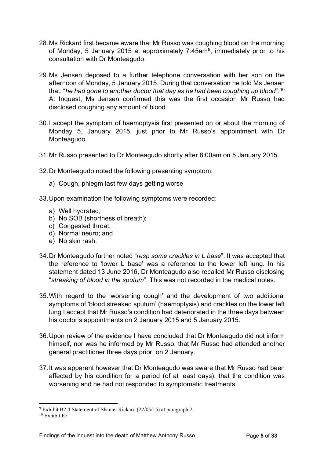- 28.Ms Rickard first became aware that Mr Russo was coughing blood on the morning of Monday, 5 January 2015 at approximately 7:45am<sup>9</sup>, immediately prior to his consultation with Dr Monteagudo.
- 29.Ms Jensen deposed to a further telephone conversation with her son on the afternoon of Monday, 5 January 2015. During that conversation he told Ms Jensen that: "*he had gone to another doctor that day as he had been coughing up blood*".[10](#page-7-1) At Inquest, Ms Jensen confirmed this was the first occasion Mr Russo had disclosed coughing any amount of blood.
- 30.I accept the symptom of haemoptysis first presented on or about the morning of Monday 5, January 2015, just prior to Mr Russo's appointment with Dr Monteagudo.
- 31.Mr Russo presented to Dr Monteagudo shortly after 8:00am on 5 January 2015.
- 32.Dr Monteagudo noted the following presenting symptom:
	- a) Cough, phlegm last few days getting worse
- 33.Upon examination the following symptoms were recorded:
	- a) Well hydrated;
	- b) No SOB (shortness of breath);
	- c) Congested throat;
	- d) Normal neuro; and
	- e) No skin rash.
- 34.Dr Monteagudo further noted "*resp some crackles in L base*". It was accepted that the reference to 'lower L base' was a reference to the lower left lung. In his statement dated 13 June 2016, Dr Monteagudo also recalled Mr Russo disclosing "*streaking of blood in the sputum*". This was not recorded in the medical notes.
- 35.With regard to the 'worsening cough' and the development of two additional symptoms of 'blood streaked sputum' (haemoptysis) and crackles on the lower left lung I accept that Mr Russo's condition had deteriorated in the three days between his doctor's appointments on 2 January 2015 and 5 January 2015.
- 36.Upon review of the evidence I have concluded that Dr Monteagudo did not inform himself, nor was he informed by Mr Russo, that Mr Russo had attended another general practitioner three days prior, on 2 January.
- 37.It was apparent however that Dr Monteagudo was aware that Mr Russo had been affected by his condition for a period (of at least days), that the condition was worsening and he had not responded to symptomatic treatments.

<span id="page-7-0"></span><sup>9</sup> Exhibit B2.4 Statement of Shantel Rickard (22/05/15) at paragraph 2.

<span id="page-7-1"></span><sup>10</sup> Exhibit E5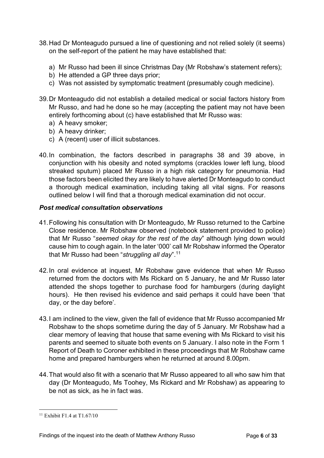- 38.Had Dr Monteagudo pursued a line of questioning and not relied solely (it seems) on the self-report of the patient he may have established that:
	- a) Mr Russo had been ill since Christmas Day (Mr Robshaw's statement refers);
	- b) He attended a GP three days prior;
	- c) Was not assisted by symptomatic treatment (presumably cough medicine).
- 39.Dr Monteagudo did not establish a detailed medical or social factors history from Mr Russo, and had he done so he may (accepting the patient may not have been entirely forthcoming about (c) have established that Mr Russo was:
	- a) A heavy smoker;
	- b) A heavy drinker;
	- c) A (recent) user of illicit substances.
- 40.In combination, the factors described in paragraphs 38 and 39 above, in conjunction with his obesity and noted symptoms (crackles lower left lung, blood streaked sputum) placed Mr Russo in a high risk category for pneumonia. Had those factors been elicited they are likely to have alerted Dr Monteagudo to conduct a thorough medical examination, including taking all vital signs. For reasons outlined below I will find that a thorough medical examination did not occur.

#### *Post medical consultation observations*

- 41.Following his consultation with Dr Monteagudo, Mr Russo returned to the Carbine Close residence. Mr Robshaw observed (notebook statement provided to police) that Mr Russo "*seemed okay for the rest of the day*" although lying down would cause him to cough again. In the later '000' call Mr Robshaw informed the Operator that Mr Russo had been "*struggling all day*"[.11](#page-8-0)
- 42.In oral evidence at inquest, Mr Robshaw gave evidence that when Mr Russo returned from the doctors with Ms Rickard on 5 January, he and Mr Russo later attended the shops together to purchase food for hamburgers (during daylight hours). He then revised his evidence and said perhaps it could have been 'that day, or the day before'.
- 43.I am inclined to the view, given the fall of evidence that Mr Russo accompanied Mr Robshaw to the shops sometime during the day of 5 January. Mr Robshaw had a clear memory of leaving that house that same evening with Ms Rickard to visit his parents and seemed to situate both events on 5 January. I also note in the Form 1 Report of Death to Coroner exhibited in these proceedings that Mr Robshaw came home and prepared hamburgers when he returned at around 8.00pm.
- 44.That would also fit with a scenario that Mr Russo appeared to all who saw him that day (Dr Monteagudo, Ms Toohey, Ms Rickard and Mr Robshaw) as appearing to be not as sick, as he in fact was.

<span id="page-8-0"></span> $11$  Exhibit F1.4 at T1.67/10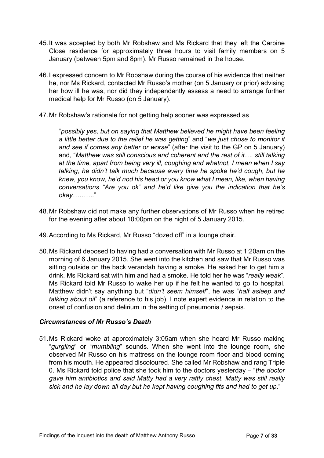- 45.It was accepted by both Mr Robshaw and Ms Rickard that they left the Carbine Close residence for approximately three hours to visit family members on 5 January (between 5pm and 8pm). Mr Russo remained in the house.
- 46.I expressed concern to Mr Robshaw during the course of his evidence that neither he, nor Ms Rickard, contacted Mr Russo's mother (on 5 January or prior) advising her how ill he was, nor did they independently assess a need to arrange further medical help for Mr Russo (on 5 January).
- 47.Mr Robshaw's rationale for not getting help sooner was expressed as

"*possibly yes, but on saying that Matthew believed he might have been feeling a little better due to the relief he was getting*" and "*we just chose to monitor it and see if comes any better or worse*" (after the visit to the GP on 5 January) and, "*Matthew was still conscious and coherent and the rest of it…. still talking at the time, apart from being very ill, coughing and whatnot, I mean when I say talking, he didn't talk much because every time he spoke he'd cough, but he knew, you know, he'd nod his head or you know what I mean, like, when having conversations "Are you ok" and he'd like give you the indication that he's okay………*."

- 48.Mr Robshaw did not make any further observations of Mr Russo when he retired for the evening after about 10:00pm on the night of 5 January 2015.
- 49.According to Ms Rickard, Mr Russo "dozed off" in a lounge chair.
- 50.Ms Rickard deposed to having had a conversation with Mr Russo at 1:20am on the morning of 6 January 2015. She went into the kitchen and saw that Mr Russo was sitting outside on the back verandah having a smoke. He asked her to get him a drink. Ms Rickard sat with him and had a smoke. He told her he was "*really weak*". Ms Rickard told Mr Russo to wake her up if he felt he wanted to go to hospital. Matthew didn't say anything but "*didn't seem himself*", he was "*half asleep and talking about oil*" (a reference to his job). I note expert evidence in relation to the onset of confusion and delirium in the setting of pneumonia / sepsis.

#### <span id="page-9-0"></span>*Circumstances of Mr Russo's Death*

51.Ms Rickard woke at approximately 3:05am when she heard Mr Russo making "*gurgling*" or "*mumbling*" sounds. When she went into the lounge room, she observed Mr Russo on his mattress on the lounge room floor and blood coming from his mouth. He appeared discoloured. She called Mr Robshaw and rang Triple 0. Ms Rickard told police that she took him to the doctors yesterday – "*the doctor gave him antibiotics and said Matty had a very rattly chest. Matty was still really sick and he lay down all day but he kept having coughing fits and had to get up*."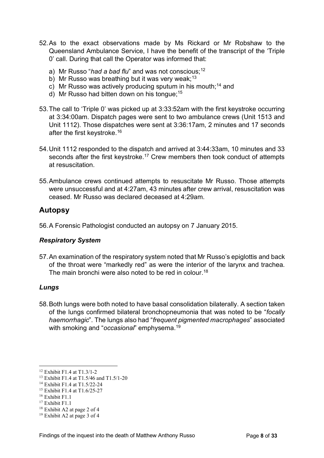- 52.As to the exact observations made by Ms Rickard or Mr Robshaw to the Queensland Ambulance Service, I have the benefit of the transcript of the 'Triple 0' call. During that call the Operator was informed that:
	- a) Mr Russo "*had a bad flu*" and was not conscious;<sup>[12](#page-10-3)</sup>
	- b) Mr Russo was breathing but it was very weak;<sup>[13](#page-10-4)</sup>
	- c) Mr Russo was actively producing sputum in his mouth;<sup>[14](#page-10-5)</sup> and
	- d) Mr Russo had bitten down on his tongue;[15](#page-10-6)
- 53.The call to 'Triple 0' was picked up at 3:33:52am with the first keystroke occurring at 3:34:00am. Dispatch pages were sent to two ambulance crews (Unit 1513 and Unit 1112). Those dispatches were sent at 3:36:17am, 2 minutes and 17 seconds after the first keystroke[.16](#page-10-7)
- 54.Unit 1112 responded to the dispatch and arrived at 3:44:33am, 10 minutes and 33 seconds after the first keystroke.<sup>[17](#page-10-8)</sup> Crew members then took conduct of attempts at resuscitation.
- 55.Ambulance crews continued attempts to resuscitate Mr Russo. Those attempts were unsuccessful and at 4:27am, 43 minutes after crew arrival, resuscitation was ceased. Mr Russo was declared deceased at 4:29am.

## <span id="page-10-0"></span>**Autopsy**

56.A Forensic Pathologist conducted an autopsy on 7 January 2015.

## <span id="page-10-1"></span>*Respiratory System*

57.An examination of the respiratory system noted that Mr Russo's epiglottis and back of the throat were "markedly red" as were the interior of the larynx and trachea. The main bronchi were also noted to be red in colour.<sup>[18](#page-10-9)</sup>

## <span id="page-10-2"></span>*Lungs*

58.Both lungs were both noted to have basal consolidation bilaterally. A section taken of the lungs confirmed bilateral bronchopneumonia that was noted to be "*focally haemorrhagic*". The lungs also had "*frequent pigmented macrophages*" associated with smoking and "*occasional*" emphysema[.19](#page-10-10)

<span id="page-10-3"></span><sup>12</sup> Exhibit F1.4 at T1.3/1-2

<span id="page-10-4"></span><sup>13</sup> Exhibit F1.4 at T1.5/46 and T1.5/1-20

<span id="page-10-5"></span><sup>14</sup> Exhibit F1.4 at T1.5/22-24

<span id="page-10-6"></span><sup>15</sup> Exhibit F1.4 at T1.6/25-27

<span id="page-10-7"></span> $16$  Exhibit F1.1

<span id="page-10-8"></span> $17$  Exhibit F1.1

<span id="page-10-9"></span><sup>18</sup> Exhibit A2 at page 2 of 4

<span id="page-10-10"></span><sup>19</sup> Exhibit A2 at page 3 of 4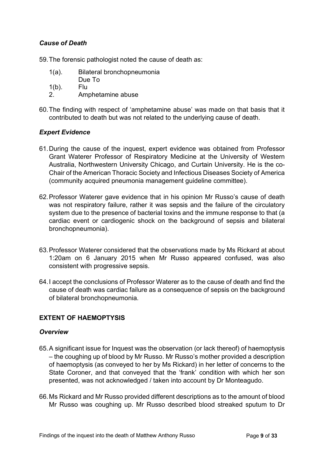## <span id="page-11-0"></span>*Cause of Death*

59.The forensic pathologist noted the cause of death as:

- 1(a). Bilateral bronchopneumonia
	- Due To
- 1(b). Flu
- 2. Amphetamine abuse
- 60.The finding with respect of 'amphetamine abuse' was made on that basis that it contributed to death but was not related to the underlying cause of death.

## <span id="page-11-1"></span>*Expert Evidence*

- 61.During the cause of the inquest, expert evidence was obtained from Professor Grant Waterer Professor of Respiratory Medicine at the University of Western Australia, Northwestern University Chicago, and Curtain University. He is the co-Chair of the American Thoracic Society and Infectious Diseases Society of America (community acquired pneumonia management guideline committee).
- 62.Professor Waterer gave evidence that in his opinion Mr Russo's cause of death was not respiratory failure, rather it was sepsis and the failure of the circulatory system due to the presence of bacterial toxins and the immune response to that (a cardiac event or cardiogenic shock on the background of sepsis and bilateral bronchopneumonia).
- 63.Professor Waterer considered that the observations made by Ms Rickard at about 1:20am on 6 January 2015 when Mr Russo appeared confused, was also consistent with progressive sepsis.
- 64.I accept the conclusions of Professor Waterer as to the cause of death and find the cause of death was cardiac failure as a consequence of sepsis on the background of bilateral bronchopneumonia.

## **EXTENT OF HAEMOPTYSIS**

#### <span id="page-11-2"></span>*Overview*

- 65.A significant issue for Inquest was the observation (or lack thereof) of haemoptysis – the coughing up of blood by Mr Russo. Mr Russo's mother provided a description of haemoptysis (as conveyed to her by Ms Rickard) in her letter of concerns to the State Coroner, and that conveyed that the 'frank' condition with which her son presented, was not acknowledged / taken into account by Dr Monteagudo.
- 66.Ms Rickard and Mr Russo provided different descriptions as to the amount of blood Mr Russo was coughing up. Mr Russo described blood streaked sputum to Dr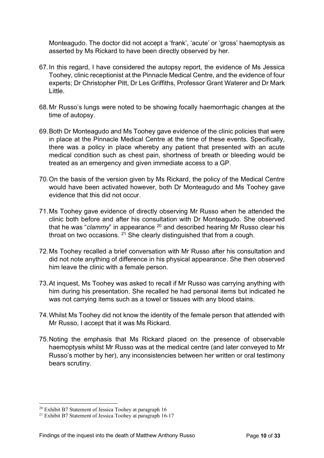Monteagudo. The doctor did not accept a 'frank', 'acute' or 'gross' haemoptysis as asserted by Ms Rickard to have been directly observed by her.

- 67.In this regard, I have considered the autopsy report, the evidence of Ms Jessica Toohey, clinic receptionist at the Pinnacle Medical Centre, and the evidence of four experts; Dr Christopher Pitt, Dr Les Griffiths, Professor Grant Waterer and Dr Mark Little.
- 68.Mr Russo's lungs were noted to be showing focally haemorrhagic changes at the time of autopsy.
- 69.Both Dr Monteagudo and Ms Toohey gave evidence of the clinic policies that were in place at the Pinnacle Medical Centre at the time of these events. Specifically, there was a policy in place whereby any patient that presented with an acute medical condition such as chest pain, shortness of breath or bleeding would be treated as an emergency and given immediate access to a GP.
- 70.On the basis of the version given by Ms Rickard, the policy of the Medical Centre would have been activated however, both Dr Monteagudo and Ms Toohey gave evidence that this did not occur.
- 71.Ms Toohey gave evidence of directly observing Mr Russo when he attended the clinic both before and after his consultation with Dr Monteagudo. She observed that he was "*clammy*" in appearance [20](#page-12-0) and described hearing Mr Russo clear his throat on two occasions.  $21$  She clearly distinguished that from a cough.
- 72.Ms Toohey recalled a brief conversation with Mr Russo after his consultation and did not note anything of difference in his physical appearance. She then observed him leave the clinic with a female person.
- 73.At inquest, Ms Toohey was asked to recall if Mr Russo was carrying anything with him during his presentation. She recalled he had personal items but indicated he was not carrying items such as a towel or tissues with any blood stains.
- 74.Whilst Ms Toohey did not know the identity of the female person that attended with Mr Russo, I accept that it was Ms Rickard.
- 75.Noting the emphasis that Ms Rickard placed on the presence of observable haemoptysis whilst Mr Russo was at the medical centre (and later conveyed to Mr Russo's mother by her), any inconsistencies between her written or oral testimony bears scrutiny.

<span id="page-12-0"></span><sup>20</sup> Exhibit B7 Statement of Jessica Toohey at paragraph 16

<span id="page-12-1"></span><sup>&</sup>lt;sup>21</sup> Exhibit B7 Statement of Jessica Toohey at paragraph 16-17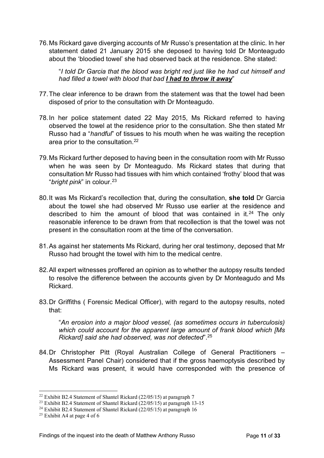76.Ms Rickard gave diverging accounts of Mr Russo's presentation at the clinic. In her statement dated 21 January 2015 she deposed to having told Dr Monteagudo about the 'bloodied towel' she had observed back at the residence. She stated:

"*I told Dr Garcia that the blood was bright red just like he had cut himself and had filled a towel with blood that bad I had to throw it away*"

- 77.The clear inference to be drawn from the statement was that the towel had been disposed of prior to the consultation with Dr Monteagudo.
- 78.In her police statement dated 22 May 2015, Ms Rickard referred to having observed the towel at the residence prior to the consultation. She then stated Mr Russo had a "*handful*" of tissues to his mouth when he was waiting the reception area prior to the consultation.[22](#page-13-0)
- 79.Ms Rickard further deposed to having been in the consultation room with Mr Russo when he was seen by Dr Monteagudo. Ms Rickard states that during that consultation Mr Russo had tissues with him which contained 'frothy' blood that was "*bright pink*" in colour.[23](#page-13-1)
- 80.It was Ms Rickard's recollection that, during the consultation, **she told** Dr Garcia about the towel she had observed Mr Russo use earlier at the residence and described to him the amount of blood that was contained in it.<sup>[24](#page-13-2)</sup> The only reasonable inference to be drawn from that recollection is that the towel was not present in the consultation room at the time of the conversation.
- 81.As against her statements Ms Rickard, during her oral testimony, deposed that Mr Russo had brought the towel with him to the medical centre.
- 82.All expert witnesses proffered an opinion as to whether the autopsy results tended to resolve the difference between the accounts given by Dr Monteagudo and Ms Rickard.
- 83.Dr Griffiths ( Forensic Medical Officer), with regard to the autopsy results, noted that:

"*An erosion into a major blood vessel, (as sometimes occurs in tuberculosis) which could account for the apparent large amount of frank blood which [Ms Rickard] said she had observed, was not detected*"[.25](#page-13-3)

84.Dr Christopher Pitt (Royal Australian College of General Practitioners – Assessment Panel Chair) considered that if the gross haemoptysis described by Ms Rickard was present, it would have corresponded with the presence of

<span id="page-13-0"></span><sup>&</sup>lt;sup>22</sup> Exhibit B2.4 Statement of Shantel Rickard  $(22/05/15)$  at paragraph 7

<span id="page-13-1"></span><sup>&</sup>lt;sup>23</sup> Exhibit B2.4 Statement of Shantel Rickard  $(22/05/15)$  at paragraph 13-15

<span id="page-13-2"></span><sup>&</sup>lt;sup>24</sup> Exhibit B2.4 Statement of Shantel Rickard  $(22/05/15)$  at paragraph 16

<span id="page-13-3"></span><sup>&</sup>lt;sup>25</sup> Exhibit A4 at page 4 of 6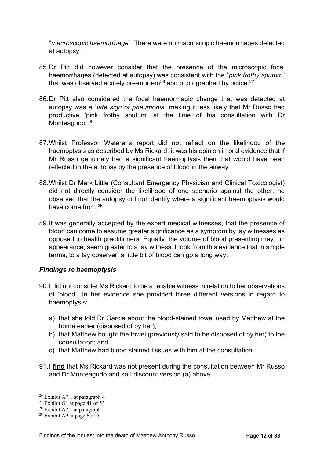"*macroscopic haemorrhage*". There were no macroscopic haemorrhages detected at autopsy.

- 85.Dr Pitt did however consider that the presence of the microscopic focal haemorrhages (detected at autopsy) was consistent with the "*pink frothy sputum*" that was observed acutely pre-mortem<sup>26</sup> and photographed by police.<sup>27</sup>
- 86.Dr Pitt also considered the focal haemorrhagic change that was detected at autopsy was a "*late sign of pneumonia*" making it less likely that Mr Russo had productive 'pink frothy sputum' at the time of his consultation with Dr Monteagudo.<sup>[28](#page-14-3)</sup>
- 87.Whilst Professor Waterer's report did not reflect on the likelihood of the haemoptysis as described by Ms Rickard, it was his opinion in oral evidence that if Mr Russo genuinely had a significant haemoptysis then that would have been reflected in the autopsy by the presence of blood in the airway.
- 88.Whilst Dr Mark Little (Consultant Emergency Physician and Clinical Toxicologist) did not directly consider the likelihood of one scenario against the other, he observed that the autopsy did not identify where a significant haemoptysis would have come from  $29$
- 89.It was generally accepted by the expert medical witnesses, that the presence of blood can come to assume greater significance as a symptom by lay witnesses as opposed to health practitioners. Equally, the volume of blood presenting may, on appearance, seem greater to a lay witness. I took from this evidence that in simple terms, to a lay observer, a little bit of blood can go a long way.

## <span id="page-14-0"></span>*Findings re haemoptysis*

- 90.I did not consider Ms Rickard to be a reliable witness in relation to her observations of 'blood'. In her evidence she provided three different versions in regard to haemoptysis:
	- a) that she told Dr Garcia about the blood-stained towel used by Matthew at the home earlier (disposed of by her);
	- b) that Matthew bought the towel (previously said to be disposed of by her) to the consultation; and
	- c) that Matthew had blood stained tissues with him at the consultation.
- 91.I **find** that Ms Rickard was not present during the consultation between Mr Russo and Dr Monteagudo and so I discount version (a) above.

<span id="page-14-1"></span> $26$  Exhibit A7.1 at paragraph 4

<span id="page-14-2"></span><sup>&</sup>lt;sup>27</sup> Exhibit G1 at page 41 of 53

<span id="page-14-3"></span> $28$  Exhibit A7.1 at paragraph 5

<span id="page-14-4"></span><sup>&</sup>lt;sup>29</sup> Exhibit A9 at page 6 of 5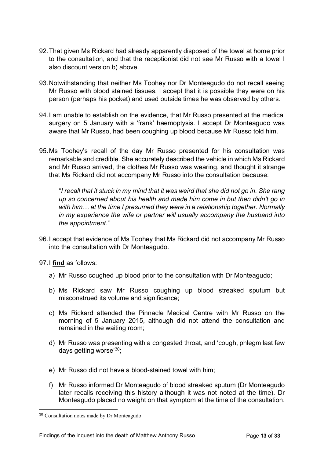- 92.That given Ms Rickard had already apparently disposed of the towel at home prior to the consultation, and that the receptionist did not see Mr Russo with a towel I also discount version b) above.
- 93.Notwithstanding that neither Ms Toohey nor Dr Monteagudo do not recall seeing Mr Russo with blood stained tissues, I accept that it is possible they were on his person (perhaps his pocket) and used outside times he was observed by others.
- 94.I am unable to establish on the evidence, that Mr Russo presented at the medical surgery on 5 January with a 'frank' haemoptysis. I accept Dr Monteagudo was aware that Mr Russo, had been coughing up blood because Mr Russo told him.
- 95.Ms Toohey's recall of the day Mr Russo presented for his consultation was remarkable and credible. She accurately described the vehicle in which Ms Rickard and Mr Russo arrived, the clothes Mr Russo was wearing, and thought it strange that Ms Rickard did not accompany Mr Russo into the consultation because:

"*I recall that it stuck in my mind that it was weird that she did not go in. She rang up so concerned about his health and made him come in but then didn't go in with him… at the time I presumed they were in a relationship together. Normally in my experience the wife or partner will usually accompany the husband into the appointment."*

- 96.I accept that evidence of Ms Toohey that Ms Rickard did not accompany Mr Russo into the consultation with Dr Monteagudo.
- 97.I **find** as follows:
	- a) Mr Russo coughed up blood prior to the consultation with Dr Monteagudo;
	- b) Ms Rickard saw Mr Russo coughing up blood streaked sputum but misconstrued its volume and significance;
	- c) Ms Rickard attended the Pinnacle Medical Centre with Mr Russo on the morning of 5 January 2015, although did not attend the consultation and remained in the waiting room;
	- d) Mr Russo was presenting with a congested throat, and 'cough, phlegm last few days getting worse' [30;](#page-15-0)
	- e) Mr Russo did not have a blood-stained towel with him;
	- f) Mr Russo informed Dr Monteagudo of blood streaked sputum (Dr Monteagudo later recalls receiving this history although it was not noted at the time). Dr Monteagudo placed no weight on that symptom at the time of the consultation.

<span id="page-15-0"></span><sup>30</sup> Consultation notes made by Dr Monteagudo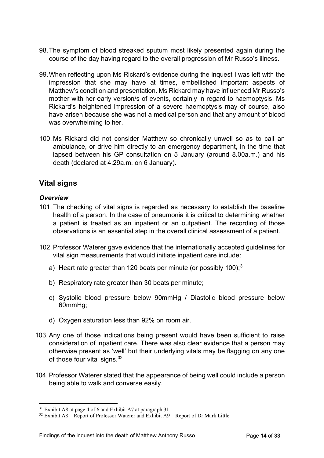- 98.The symptom of blood streaked sputum most likely presented again during the course of the day having regard to the overall progression of Mr Russo's illness.
- 99.When reflecting upon Ms Rickard's evidence during the inquest I was left with the impression that she may have at times, embellished important aspects of Matthew's condition and presentation. Ms Rickard may have influenced Mr Russo's mother with her early version/s of events, certainly in regard to haemoptysis. Ms Rickard's heightened impression of a severe haemoptysis may of course, also have arisen because she was not a medical person and that any amount of blood was overwhelming to her.
- 100. Ms Rickard did not consider Matthew so chronically unwell so as to call an ambulance, or drive him directly to an emergency department, in the time that lapsed between his GP consultation on 5 January (around 8.00a.m.) and his death (declared at 4.29a.m. on 6 January).

## <span id="page-16-0"></span>**Vital signs**

#### <span id="page-16-1"></span>*Overview*

- 101. The checking of vital signs is regarded as necessary to establish the baseline health of a person. In the case of pneumonia it is critical to determining whether a patient is treated as an inpatient or an outpatient. The recording of those observations is an essential step in the overall clinical assessment of a patient.
- 102.Professor Waterer gave evidence that the internationally accepted guidelines for vital sign measurements that would initiate inpatient care include:
	- a) Heart rate greater than 120 beats per minute (or possibly 100); $^{31}$
	- b) Respiratory rate greater than 30 beats per minute;
	- c) Systolic blood pressure below 90mmHg / Diastolic blood pressure below 60mmHg;
	- d) Oxygen saturation less than 92% on room air.
- 103.Any one of those indications being present would have been sufficient to raise consideration of inpatient care. There was also clear evidence that a person may otherwise present as 'well' but their underlying vitals may be flagging on any one of those four vital signs.  $32<sup>2</sup>$
- 104.Professor Waterer stated that the appearance of being well could include a person being able to walk and converse easily.

<span id="page-16-2"></span><sup>31</sup> Exhibit A8 at page 4 of 6 and Exhibit A7 at paragraph 31

<span id="page-16-3"></span><sup>32</sup> Exhibit A8 – Report of Professor Waterer and Exhibit A9 – Report of Dr Mark Little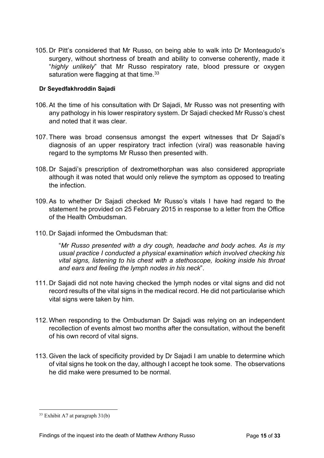105. Dr Pitt's considered that Mr Russo, on being able to walk into Dr Monteagudo's surgery, without shortness of breath and ability to converse coherently, made it "*highly unlikely*" that Mr Russo respiratory rate, blood pressure or oxygen saturation were flagging at that time.<sup>[33](#page-17-1)</sup>

#### <span id="page-17-0"></span>**Dr Seyedfakhroddin Sajadi**

- 106.At the time of his consultation with Dr Sajadi, Mr Russo was not presenting with any pathology in his lower respiratory system. Dr Sajadi checked Mr Russo's chest and noted that it was clear.
- 107. There was broad consensus amongst the expert witnesses that Dr Sajadi's diagnosis of an upper respiratory tract infection (viral) was reasonable having regard to the symptoms Mr Russo then presented with.
- 108. Dr Sajadi's prescription of dextromethorphan was also considered appropriate although it was noted that would only relieve the symptom as opposed to treating the infection.
- 109.As to whether Dr Sajadi checked Mr Russo's vitals I have had regard to the statement he provided on 25 February 2015 in response to a letter from the Office of the Health Ombudsman.
- 110. Dr Sajadi informed the Ombudsman that:

"*Mr Russo presented with a dry cough, headache and body aches. As is my usual practice I conducted a physical examination which involved checking his vital signs, listening to his chest with a stethoscope, looking inside his throat and ears and feeling the lymph nodes in his neck*".

- 111. Dr Sajadi did not note having checked the lymph nodes or vital signs and did not record results of the vital signs in the medical record. He did not particularise which vital signs were taken by him.
- 112. When responding to the Ombudsman Dr Sajadi was relying on an independent recollection of events almost two months after the consultation, without the benefit of his own record of vital signs.
- 113. Given the lack of specificity provided by Dr Sajadi I am unable to determine which of vital signs he took on the day, although I accept he took some. The observations he did make were presumed to be normal.

<span id="page-17-1"></span> $33$  Exhibit A7 at paragraph 31(b)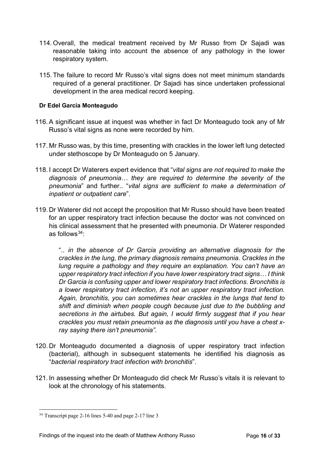- 114. Overall, the medical treatment received by Mr Russo from Dr Sajadi was reasonable taking into account the absence of any pathology in the lower respiratory system.
- 115. The failure to record Mr Russo's vital signs does not meet minimum standards required of a general practitioner. Dr Sajadi has since undertaken professional development in the area medical record keeping.

#### <span id="page-18-0"></span>**Dr Edel Garcia Monteagudo**

- 116.A significant issue at inquest was whether in fact Dr Monteagudo took any of Mr Russo's vital signs as none were recorded by him.
- 117. Mr Russo was, by this time, presenting with crackles in the lower left lung detected under stethoscope by Dr Monteagudo on 5 January.
- 118. I accept Dr Waterers expert evidence that "*vital signs are not required to make the diagnosis of pneumonia… they are required to determine the severity of the pneumonia*" and further.. "*vital signs are sufficient to make a determination of inpatient or outpatient care*".
- 119. Dr Waterer did not accept the proposition that Mr Russo should have been treated for an upper respiratory tract infection because the doctor was not convinced on his clinical assessment that he presented with pneumonia. Dr Waterer responded as follows $34$ :

".. *in the absence of Dr Garcia providing an alternative diagnosis for the crackles in the lung, the primary diagnosis remains pneumonia. Crackles in the lung require a pathology and they require an explanation. You can't have an upper respiratory tract infection if you have lower respiratory tract signs… I think Dr Garcia is confusing upper and lower respiratory tract infections. Bronchitis is a lower respiratory tract infection, it's not an upper respiratory tract infection. Again, bronchitis, you can sometimes hear crackles in the lungs that tend to shift and diminish when people cough because just due to the bubbling and secretions in the airtubes. But again, I would firmly suggest that if you hear crackles you must retain pneumonia as the diagnosis until you have a chest xray saying there isn't pneumonia"*.

- 120. Dr Monteagudo documented a diagnosis of upper respiratory tract infection (bacterial), although in subsequent statements he identified his diagnosis as "*bacterial respiratory tract infection with bronchitis*".
- 121. In assessing whether Dr Monteagudo did check Mr Russo's vitals it is relevant to look at the chronology of his statements.

<span id="page-18-1"></span><sup>34</sup> Transcript page 2-16 lines 5-40 and page 2-17 line 3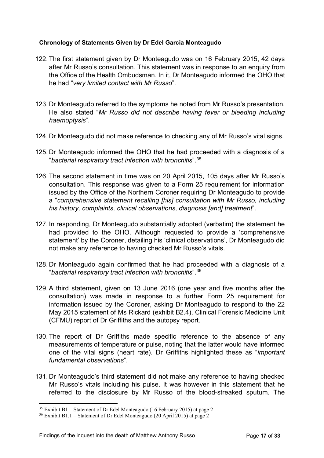#### <span id="page-19-0"></span>**Chronology of Statements Given by Dr Edel Garcia Monteagudo**

- 122. The first statement given by Dr Monteagudo was on 16 February 2015, 42 days after Mr Russo's consultation. This statement was in response to an enquiry from the Office of the Health Ombudsman. In it, Dr Monteagudo informed the OHO that he had "*very limited contact with Mr Russo*".
- 123. Dr Monteagudo referred to the symptoms he noted from Mr Russo's presentation. He also stated "*Mr Russo did not describe having fever or bleeding including haemoptysis*".
- 124. Dr Monteagudo did not make reference to checking any of Mr Russo's vital signs.
- 125. Dr Monteagudo informed the OHO that he had proceeded with a diagnosis of a "*bacterial respiratory tract infection with bronchitis*".[35](#page-19-1)
- 126. The second statement in time was on 20 April 2015, 105 days after Mr Russo's consultation. This response was given to a Form 25 requirement for information issued by the Office of the Northern Coroner requiring Dr Monteagudo to provide a "*comprehensive statement recalling [his] consultation with Mr Russo, including his history, complaints, clinical observations, diagnosis [and] treatment*".
- 127. In responding, Dr Monteagudo substantially adopted (verbatim) the statement he had provided to the OHO. Although requested to provide a 'comprehensive statement' by the Coroner, detailing his 'clinical observations', Dr Monteagudo did not make any reference to having checked Mr Russo's vitals.
- 128. Dr Monteagudo again confirmed that he had proceeded with a diagnosis of a "*bacterial respiratory tract infection with bronchitis*".[36](#page-19-2)
- 129.A third statement, given on 13 June 2016 (one year and five months after the consultation) was made in response to a further Form 25 requirement for information issued by the Coroner, asking Dr Monteagudo to respond to the 22 May 2015 statement of Ms Rickard (exhibit B2.4), Clinical Forensic Medicine Unit (CFMU) report of Dr Griffiths and the autopsy report.
- 130. The report of Dr Griffiths made specific reference to the absence of any measurements of temperature or pulse, noting that the latter would have informed one of the vital signs (heart rate). Dr Griffiths highlighted these as "*important fundamental observations*".
- 131. Dr Monteagudo's third statement did not make any reference to having checked Mr Russo's vitals including his pulse. It was however in this statement that he referred to the disclosure by Mr Russo of the blood-streaked sputum. The

<span id="page-19-1"></span><sup>35</sup> Exhibit B1 – Statement of Dr Edel Monteagudo (16 February 2015) at page 2

<span id="page-19-2"></span><sup>36</sup> Exhibit B1.1 – Statement of Dr Edel Monteagudo (20 April 2015) at page 2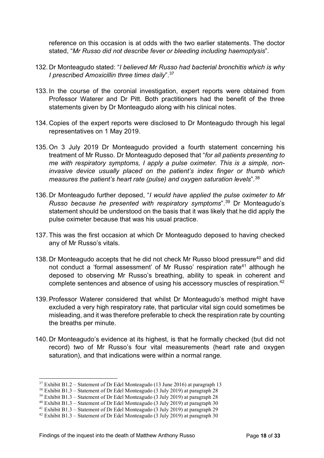reference on this occasion is at odds with the two earlier statements. The doctor stated, "*Mr Russo did not describe fever or bleeding including haemoptysis*".

- 132. Dr Monteagudo stated: "*I believed Mr Russo had bacterial bronchitis which is why I prescribed Amoxicillin three times daily*"[.37](#page-20-0)
- 133. In the course of the coronial investigation, expert reports were obtained from Professor Waterer and Dr Pitt. Both practitioners had the benefit of the three statements given by Dr Monteagudo along with his clinical notes.
- 134. Copies of the expert reports were disclosed to Dr Monteagudo through his legal representatives on 1 May 2019.
- 135. On 3 July 2019 Dr Monteagudo provided a fourth statement concerning his treatment of Mr Russo. Dr Monteagudo deposed that "*for all patients presenting to me with respiratory symptoms, I apply a pulse oximeter. This is a simple, noninvasive device usually placed on the patient's index finger or thumb which measures the patient's heart rate (pulse) and oxygen saturation levels*".[38](#page-20-1)
- 136. Dr Monteagudo further deposed, "*I would have applied the pulse oximeter to Mr Russo because he presented with respiratory symptoms*".[39](#page-20-2) Dr Monteagudo's statement should be understood on the basis that it was likely that he did apply the pulse oximeter because that was his usual practice.
- 137. This was the first occasion at which Dr Monteagudo deposed to having checked any of Mr Russo's vitals.
- 138. Dr Monteagudo accepts that he did not check Mr Russo blood pressure<sup>[40](#page-20-3)</sup> and did not conduct a 'formal assessment' of Mr Russo' respiration rate<sup>[41](#page-20-4)</sup> although he deposed to observing Mr Russo's breathing, ability to speak in coherent and complete sentences and absence of using his accessory muscles of respiration.<sup>[42](#page-20-5)</sup>
- 139.Professor Waterer considered that whilst Dr Monteagudo's method might have excluded a very high respiratory rate, that particular vital sign could sometimes be misleading, and it was therefore preferable to check the respiration rate by counting the breaths per minute.
- 140. Dr Monteagudo's evidence at its highest, is that he formally checked (but did not record) two of Mr Russo's four vital measurements (heart rate and oxygen saturation), and that indications were within a normal range.

<span id="page-20-0"></span> $37$  Exhibit B1.2 – Statement of Dr Edel Monteagudo (13 June 2016) at paragraph 13

<span id="page-20-1"></span><sup>38</sup> Exhibit B1.3 – Statement of Dr Edel Monteagudo (3 July 2019) at paragraph 28

<span id="page-20-2"></span><sup>&</sup>lt;sup>39</sup> Exhibit B1.3 – Statement of Dr Edel Monteagudo (3 July 2019) at paragraph 28

<span id="page-20-3"></span><sup>&</sup>lt;sup>40</sup> Exhibit B1.3 – Statement of Dr Edel Monteagudo  $(3 \text{ July } 2019)$  at paragraph 30

<span id="page-20-4"></span><sup>41</sup> Exhibit B1.3 – Statement of Dr Edel Monteagudo (3 July 2019) at paragraph 29

<span id="page-20-5"></span><sup>42</sup> Exhibit B1.3 – Statement of Dr Edel Monteagudo (3 July 2019) at paragraph 30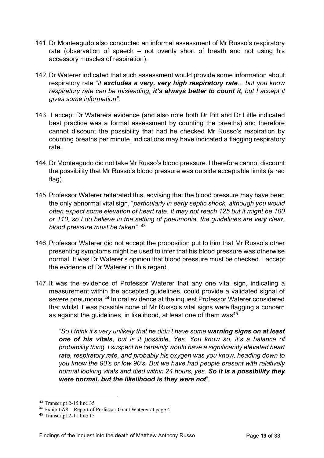- 141. Dr Monteagudo also conducted an informal assessment of Mr Russo's respiratory rate (observation of speech – not overtly short of breath and not using his accessory muscles of respiration).
- 142. Dr Waterer indicated that such assessment would provide some information about respiratory rate "*it excludes a very, very high respiratory rate... but you know respiratory rate can be misleading, it's always better to count it, but I accept it gives some information".*
- 143. I accept Dr Waterers evidence (and also note both Dr Pitt and Dr Little indicated best practice was a formal assessment by counting the breaths) and therefore cannot discount the possibility that had he checked Mr Russo's respiration by counting breaths per minute, indications may have indicated a flagging respiratory rate.
- 144. Dr Monteagudo did not take Mr Russo's blood pressure. I therefore cannot discount the possibility that Mr Russo's blood pressure was outside acceptable limits (a red flag).
- 145.Professor Waterer reiterated this, advising that the blood pressure may have been the only abnormal vital sign, "*particularly in early septic shock, although you would often expect some elevation of heart rate. It may not reach 125 but it might be 100 or 110, so I do believe in the setting of pneumonia, the guidelines are very clear, blood pressure must be taken".* [43](#page-21-0)
- 146.Professor Waterer did not accept the proposition put to him that Mr Russo's other presenting symptoms might be used to infer that his blood pressure was otherwise normal. It was Dr Waterer's opinion that blood pressure must be checked. I accept the evidence of Dr Waterer in this regard.
- 147. It was the evidence of Professor Waterer that any one vital sign, indicating a measurement within the accepted guidelines, could provide a validated signal of severe pneumonia.<sup>[44](#page-21-1)</sup> In oral evidence at the inquest Professor Waterer considered that whilst it was possible none of Mr Russo's vital signs were flagging a concern as against the guidelines, in likelihood, at least one of them was<sup>[45](#page-21-2)</sup>.

"*So I think it's very unlikely that he didn't have some warning signs on at least one of his vitals, but is it possible, Yes. You know so, it's a balance of probability thing. I suspect he certainly would have a significantly elevated heart rate, respiratory rate, and probably his oxygen was you know, heading down to you know the 90's or low 90's. But we have had people present with relatively normal looking vitals and died within 24 hours, yes. So it is a possibility they were normal, but the likelihood is they were not*".

<span id="page-21-0"></span><sup>43</sup> Transcript 2-15 line 35

<span id="page-21-1"></span><sup>44</sup> Exhibit A8 – Report of Professor Grant Waterer at page 4

<span id="page-21-2"></span><sup>45</sup> Transcript 2-11 line 15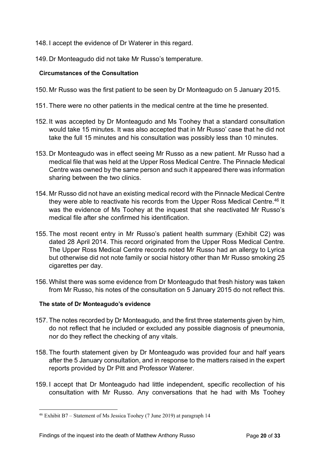- 148. I accept the evidence of Dr Waterer in this regard.
- 149. Dr Monteagudo did not take Mr Russo's temperature.

#### <span id="page-22-0"></span>**Circumstances of the Consultation**

- 150. Mr Russo was the first patient to be seen by Dr Monteagudo on 5 January 2015.
- 151. There were no other patients in the medical centre at the time he presented.
- 152. It was accepted by Dr Monteagudo and Ms Toohey that a standard consultation would take 15 minutes. It was also accepted that in Mr Russo' case that he did not take the full 15 minutes and his consultation was possibly less than 10 minutes.
- 153. Dr Monteagudo was in effect seeing Mr Russo as a new patient. Mr Russo had a medical file that was held at the Upper Ross Medical Centre. The Pinnacle Medical Centre was owned by the same person and such it appeared there was information sharing between the two clinics.
- 154. Mr Russo did not have an existing medical record with the Pinnacle Medical Centre they were able to reactivate his records from the Upper Ross Medical Centre.<sup>[46](#page-22-2)</sup> It was the evidence of Ms Toohey at the inquest that she reactivated Mr Russo's medical file after she confirmed his identification.
- 155. The most recent entry in Mr Russo's patient health summary (Exhibit C2) was dated 28 April 2014. This record originated from the Upper Ross Medical Centre. The Upper Ross Medical Centre records noted Mr Russo had an allergy to Lyrica but otherwise did not note family or social history other than Mr Russo smoking 25 cigarettes per day.
- 156. Whilst there was some evidence from Dr Monteagudo that fresh history was taken from Mr Russo, his notes of the consultation on 5 January 2015 do not reflect this.

#### <span id="page-22-1"></span>**The state of Dr Monteagudo's evidence**

- 157. The notes recorded by Dr Monteagudo, and the first three statements given by him, do not reflect that he included or excluded any possible diagnosis of pneumonia, nor do they reflect the checking of any vitals.
- 158. The fourth statement given by Dr Monteagudo was provided four and half years after the 5 January consultation, and in response to the matters raised in the expert reports provided by Dr Pitt and Professor Waterer.
- 159. I accept that Dr Monteagudo had little independent, specific recollection of his consultation with Mr Russo. Any conversations that he had with Ms Toohey

<span id="page-22-2"></span><sup>46</sup> Exhibit B7 – Statement of Ms Jessica Toohey (7 June 2019) at paragraph 14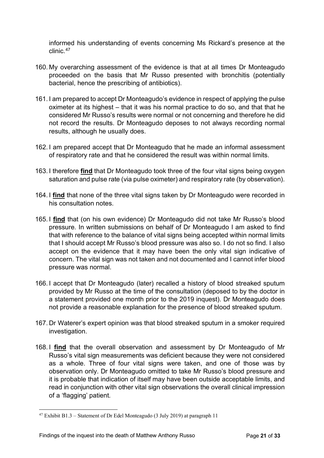informed his understanding of events concerning Ms Rickard's presence at the clinic.[47](#page-23-0)

- 160. My overarching assessment of the evidence is that at all times Dr Monteagudo proceeded on the basis that Mr Russo presented with bronchitis (potentially bacterial, hence the prescribing of antibiotics).
- 161. I am prepared to accept Dr Monteagudo's evidence in respect of applying the pulse oximeter at its highest – that it was his normal practice to do so, and that that he considered Mr Russo's results were normal or not concerning and therefore he did not record the results. Dr Monteagudo deposes to not always recording normal results, although he usually does.
- 162. I am prepared accept that Dr Monteagudo that he made an informal assessment of respiratory rate and that he considered the result was within normal limits.
- 163. I therefore **find** that Dr Monteagudo took three of the four vital signs being oxygen saturation and pulse rate (via pulse oximeter) and respiratory rate (by observation).
- 164. I **find** that none of the three vital signs taken by Dr Monteagudo were recorded in his consultation notes.
- 165. I **find** that (on his own evidence) Dr Monteagudo did not take Mr Russo's blood pressure. In written submissions on behalf of Dr Monteagudo I am asked to find that with reference to the balance of vital signs being accepted within normal limits that I should accept Mr Russo's blood pressure was also so. I do not so find. I also accept on the evidence that it may have been the only vital sign indicative of concern. The vital sign was not taken and not documented and I cannot infer blood pressure was normal.
- 166. I accept that Dr Monteagudo (later) recalled a history of blood streaked sputum provided by Mr Russo at the time of the consultation (deposed to by the doctor in a statement provided one month prior to the 2019 inquest). Dr Monteagudo does not provide a reasonable explanation for the presence of blood streaked sputum.
- 167. Dr Waterer's expert opinion was that blood streaked sputum in a smoker required investigation.
- 168. I **find** that the overall observation and assessment by Dr Monteagudo of Mr Russo's vital sign measurements was deficient because they were not considered as a whole. Three of four vital signs were taken, and one of those was by observation only. Dr Monteagudo omitted to take Mr Russo's blood pressure and it is probable that indication of itself may have been outside acceptable limits, and read in conjunction with other vital sign observations the overall clinical impression of a 'flagging' patient.

<span id="page-23-0"></span><sup>47</sup> Exhibit B1.3 – Statement of Dr Edel Monteagudo (3 July 2019) at paragraph 11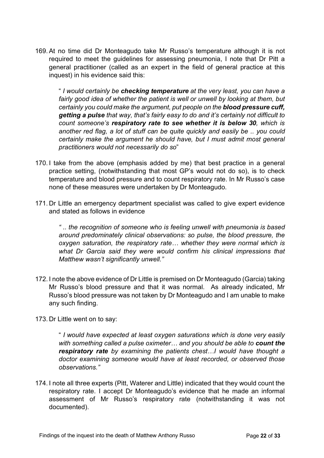169.At no time did Dr Monteagudo take Mr Russo's temperature although it is not required to meet the guidelines for assessing pneumonia, I note that Dr Pitt a general practitioner (called as an expert in the field of general practice at this inquest) in his evidence said this:

" *I would certainly be checking temperature at the very least, you can have a fairly good idea of whether the patient is well or unwell by looking at them, but certainly you could make the argument, put people on the blood pressure cuff, getting a pulse that way, that's fairly easy to do and it's certainly not difficult to count someone's respiratory rate to see whether it is below 30, which is another red flag, a lot of stuff can be quite quickly and easily be .. you could certainly make the argument he should have, but I must admit most general practitioners would not necessarily do so*"

- 170. I take from the above (emphasis added by me) that best practice in a general practice setting, (notwithstanding that most GP's would not do so), is to check temperature and blood pressure and to count respiratory rate. In Mr Russo's case none of these measures were undertaken by Dr Monteagudo.
- 171. Dr Little an emergency department specialist was called to give expert evidence and stated as follows in evidence

*" .. the recognition of someone who is feeling unwell with pneumonia is based around predominately clinical observations: so pulse, the blood pressure, the oxygen saturation, the respiratory rate… whether they were normal which is what Dr Garcia said they were would confirm his clinical impressions that Matthew wasn't significantly unwell."*

- 172. I note the above evidence of Dr Little is premised on Dr Monteagudo (Garcia) taking Mr Russo's blood pressure and that it was normal. As already indicated, Mr Russo's blood pressure was not taken by Dr Monteagudo and I am unable to make any such finding.
- 173. Dr Little went on to say:

" *I would have expected at least oxygen saturations which is done very easily*  with something called a pulse oximeter... and you should be able to **count the** *respiratory rate by examining the patients chest…I would have thought a doctor examining someone would have at least recorded, or observed those observations."*

174. I note all three experts (Pitt, Waterer and Little) indicated that they would count the respiratory rate. I accept Dr Monteagudo's evidence that he made an informal assessment of Mr Russo's respiratory rate (notwithstanding it was not documented).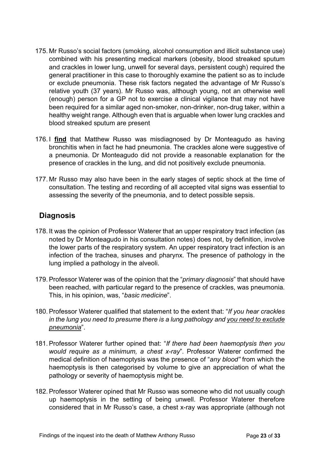- 175. Mr Russo's social factors (smoking, alcohol consumption and illicit substance use) combined with his presenting medical markers (obesity, blood streaked sputum and crackles in lower lung, unwell for several days, persistent cough) required the general practitioner in this case to thoroughly examine the patient so as to include or exclude pneumonia. These risk factors negated the advantage of Mr Russo's relative youth (37 years). Mr Russo was, although young, not an otherwise well (enough) person for a GP not to exercise a clinical vigilance that may not have been required for a similar aged non-smoker, non-drinker, non-drug taker, within a healthy weight range. Although even that is arguable when lower lung crackles and blood streaked sputum are present
- 176. I **find** that Matthew Russo was misdiagnosed by Dr Monteagudo as having bronchitis when in fact he had pneumonia. The crackles alone were suggestive of a pneumonia. Dr Monteagudo did not provide a reasonable explanation for the presence of crackles in the lung, and did not positively exclude pneumonia.
- 177. Mr Russo may also have been in the early stages of septic shock at the time of consultation. The testing and recording of all accepted vital signs was essential to assessing the severity of the pneumonia, and to detect possible sepsis.

## <span id="page-25-0"></span>**Diagnosis**

- 178. It was the opinion of Professor Waterer that an upper respiratory tract infection (as noted by Dr Monteagudo in his consultation notes) does not, by definition, involve the lower parts of the respiratory system. An upper respiratory tract infection is an infection of the trachea, sinuses and pharynx. The presence of pathology in the lung implied a pathology in the alveoli.
- 179.Professor Waterer was of the opinion that the "*primary diagnosis*" that should have been reached, with particular regard to the presence of crackles, was pneumonia. This, in his opinion, was, "*basic medicine*".
- 180.Professor Waterer qualified that statement to the extent that: "*If you hear crackles in the lung you need to presume there is a lung pathology and you need to exclude pneumonia*".
- 181.Professor Waterer further opined that: "*If there had been haemoptysis then you would require as a minimum, a chest x-ray*". Professor Waterer confirmed the medical definition of haemoptysis was the presence of "*any blood"* from which the haemoptysis is then categorised by volume to give an appreciation of what the pathology or severity of haemoptysis might be.
- 182.Professor Waterer opined that Mr Russo was someone who did not usually cough up haemoptysis in the setting of being unwell. Professor Waterer therefore considered that in Mr Russo's case, a chest x-ray was appropriate (although not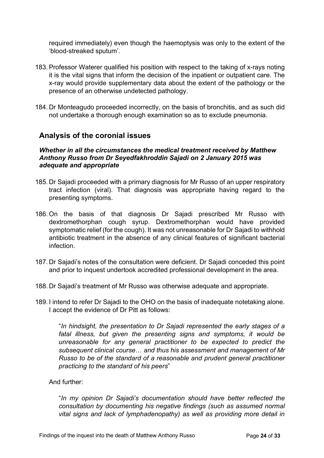required immediately) even though the haemoptysis was only to the extent of the 'blood-streaked sputum'.

- 183.Professor Waterer qualified his position with respect to the taking of x-rays noting it is the vital signs that inform the decision of the inpatient or outpatient care. The x-ray would provide supplementary data about the extent of the pathology or the presence of an otherwise undetected pathology.
- 184. Dr Monteagudo proceeded incorrectly, on the basis of bronchitis, and as such did not undertake a thorough enough examination so as to exclude pneumonia.

## <span id="page-26-0"></span>**Analysis of the coronial issues**

#### <span id="page-26-1"></span>*Whether in all the circumstances the medical treatment received by Matthew Anthony Russo from Dr Seyedfakhroddin Sajadi on 2 January 2015 was adequate and appropriate*

- 185. Dr Sajadi proceeded with a primary diagnosis for Mr Russo of an upper respiratory tract infection (viral). That diagnosis was appropriate having regard to the presenting symptoms.
- 186. On the basis of that diagnosis Dr Sajadi prescribed Mr Russo with dextromethorphan cough syrup. Dextromethorphan would have provided symptomatic relief (for the cough). It was not unreasonable for Dr Sajadi to withhold antibiotic treatment in the absence of any clinical features of significant bacterial infection.
- 187. Dr Sajadi's notes of the consultation were deficient. Dr Sajadi conceded this point and prior to inquest undertook accredited professional development in the area.
- 188. Dr Sajadi's treatment of Mr Russo was otherwise adequate and appropriate.
- 189. I intend to refer Dr Sajadi to the OHO on the basis of inadequate notetaking alone. I accept the evidence of Dr Pitt as follows:

"*In hindsight, the presentation to Dr Sajadi represented the early stages of a fatal illness, but given the presenting signs and symptoms, it would be unreasonable for any general practitioner to be expected to predict the subsequent clinical course*… *and thus his assessment and management of Mr Russo to be of the standard of a reasonable and prudent general practitioner practicing to the standard of his peers*"

#### And further:

"*In my opinion Dr Sajadi's documentation should have better reflected the consultation by documenting his negative findings (such as assumed normal vital signs and lack of lymphadenopathy) as well as providing more detail in*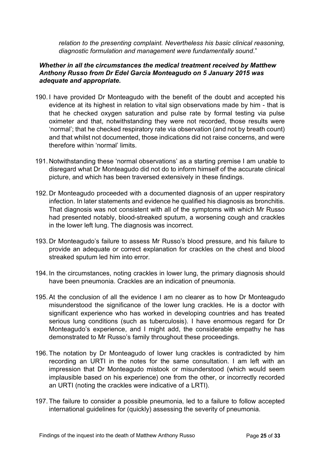*relation to the presenting complaint. Nevertheless his basic clinical reasoning, diagnostic formulation and management were fundamentally sound*."

#### <span id="page-27-0"></span>*Whether in all the circumstances the medical treatment received by Matthew Anthony Russo from Dr Edel Garcia Monteagudo on 5 January 2015 was adequate and appropriate.*

- 190. I have provided Dr Monteagudo with the benefit of the doubt and accepted his evidence at its highest in relation to vital sign observations made by him - that is that he checked oxygen saturation and pulse rate by formal testing via pulse oximeter and that, notwithstanding they were not recorded, those results were 'normal'; that he checked respiratory rate via observation (and not by breath count) and that whilst not documented, those indications did not raise concerns, and were therefore within 'normal' limits.
- 191. Notwithstanding these 'normal observations' as a starting premise I am unable to disregard what Dr Monteagudo did not do to inform himself of the accurate clinical picture, and which has been traversed extensively in these findings.
- 192. Dr Monteagudo proceeded with a documented diagnosis of an upper respiratory infection. In later statements and evidence he qualified his diagnosis as bronchitis. That diagnosis was not consistent with all of the symptoms with which Mr Russo had presented notably, blood-streaked sputum, a worsening cough and crackles in the lower left lung. The diagnosis was incorrect.
- 193. Dr Monteagudo's failure to assess Mr Russo's blood pressure, and his failure to provide an adequate or correct explanation for crackles on the chest and blood streaked sputum led him into error.
- 194. In the circumstances, noting crackles in lower lung, the primary diagnosis should have been pneumonia. Crackles are an indication of pneumonia.
- 195.At the conclusion of all the evidence I am no clearer as to how Dr Monteagudo misunderstood the significance of the lower lung crackles. He is a doctor with significant experience who has worked in developing countries and has treated serious lung conditions (such as tuberculosis). I have enormous regard for Dr Monteagudo's experience, and I might add, the considerable empathy he has demonstrated to Mr Russo's family throughout these proceedings.
- 196. The notation by Dr Monteagudo of lower lung crackles is contradicted by him recording an URTI in the notes for the same consultation. I am left with an impression that Dr Monteagudo mistook or misunderstood (which would seem implausible based on his experience) one from the other, or incorrectly recorded an URTI (noting the crackles were indicative of a LRTI).
- 197. The failure to consider a possible pneumonia, led to a failure to follow accepted international guidelines for (quickly) assessing the severity of pneumonia.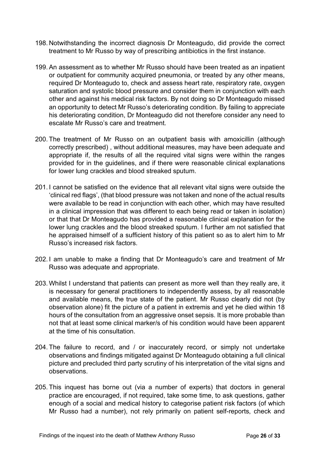- 198. Notwithstanding the incorrect diagnosis Dr Monteagudo, did provide the correct treatment to Mr Russo by way of prescribing antibiotics in the first instance.
- 199.An assessment as to whether Mr Russo should have been treated as an inpatient or outpatient for community acquired pneumonia, or treated by any other means, required Dr Monteagudo to, check and assess heart rate, respiratory rate, oxygen saturation and systolic blood pressure and consider them in conjunction with each other and against his medical risk factors. By not doing so Dr Monteagudo missed an opportunity to detect Mr Russo's deteriorating condition. By failing to appreciate his deteriorating condition, Dr Monteagudo did not therefore consider any need to escalate Mr Russo's care and treatment.
- 200. The treatment of Mr Russo on an outpatient basis with amoxicillin (although correctly prescribed) , without additional measures, may have been adequate and appropriate if, the results of all the required vital signs were within the ranges provided for in the guidelines, and if there were reasonable clinical explanations for lower lung crackles and blood streaked sputum.
- 201. I cannot be satisfied on the evidence that all relevant vital signs were outside the 'clinical red flags', (that blood pressure was not taken and none of the actual results were available to be read in conjunction with each other, which may have resulted in a clinical impression that was different to each being read or taken in isolation) or that that Dr Monteagudo has provided a reasonable clinical explanation for the lower lung crackles and the blood streaked sputum. I further am not satisfied that he appraised himself of a sufficient history of this patient so as to alert him to Mr Russo's increased risk factors.
- 202. I am unable to make a finding that Dr Monteagudo's care and treatment of Mr Russo was adequate and appropriate.
- 203. Whilst I understand that patients can present as more well than they really are, it is necessary for general practitioners to independently assess, by all reasonable and available means, the true state of the patient. Mr Russo clearly did not (by observation alone) fit the picture of a patient in extremis and yet he died within 18 hours of the consultation from an aggressive onset sepsis. It is more probable than not that at least some clinical marker/s of his condition would have been apparent at the time of his consultation.
- 204. The failure to record, and / or inaccurately record, or simply not undertake observations and findings mitigated against Dr Monteagudo obtaining a full clinical picture and precluded third party scrutiny of his interpretation of the vital signs and observations.
- 205. This inquest has borne out (via a number of experts) that doctors in general practice are encouraged, if not required, take some time, to ask questions, gather enough of a social and medical history to categorise patient risk factors (of which Mr Russo had a number), not rely primarily on patient self-reports, check and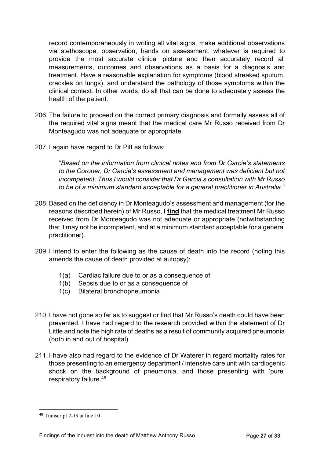record contemporaneously in writing all vital signs, make additional observations via stethoscope, observation, hands on assessment; whatever is required to provide the most accurate clinical picture and then accurately record all measurements, outcomes and observations as a basis for a diagnosis and treatment. Have a reasonable explanation for symptoms (blood streaked sputum, crackles on lungs), and understand the pathology of those symptoms within the clinical context. In other words, do all that can be done to adequately assess the health of the patient.

- 206. The failure to proceed on the correct primary diagnosis and formally assess all of the required vital signs meant that the medical care Mr Russo received from Dr Monteagudo was not adequate or appropriate.
- 207. I again have regard to Dr Pitt as follows:

"*Based on the information from clinical notes and from Dr Garcia's statements to the Coroner, Dr Garcia's assessment and management was deficient but not incompetent. Thus I would consider that Dr Garcia's consultation with Mr Russo to be of a minimum standard acceptable for a general practitioner in Australia*."

- 208.Based on the deficiency in Dr Monteagudo's assessment and management (for the reasons described herein) of Mr Russo, I **find** that the medical treatment Mr Russo received from Dr Monteagudo was not adequate or appropriate (notwithstanding that it may not be incompetent, and at a minimum standard acceptable for a general practitioner).
- 209. I intend to enter the following as the cause of death into the record (noting this amends the cause of death provided at autopsy):
	- 1(a) Cardiac failure due to or as a consequence of
	- 1(b) Sepsis due to or as a consequence of
	- 1(c) Bilateral bronchopneumonia
- 210. I have not gone so far as to suggest or find that Mr Russo's death could have been prevented. I have had regard to the research provided within the statement of Dr Little and note the high rate of deaths as a result of community acquired pneumonia (both in and out of hospital).
- 211. I have also had regard to the evidence of Dr Waterer in regard mortality rates for those presenting to an emergency department / intensive care unit with cardiogenic shock on the background of pneumonia, and those presenting with 'pure' respiratory failure. [48](#page-29-0)

<span id="page-29-0"></span><sup>48</sup> Transcript 2-19 at line 10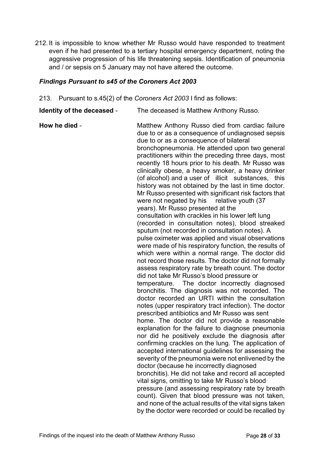212. It is impossible to know whether Mr Russo would have responded to treatment even if he had presented to a tertiary hospital emergency department, noting the aggressive progression of his life threatening sepsis. Identification of pneumonia and / or sepsis on 5 January may not have altered the outcome.

#### <span id="page-30-0"></span>*Findings Pursuant to s45 of the Coroners Act 2003*

- 213. Pursuant to s.45(2) of the *Coroners Act 2003* I find as follows:
- **Identity of the deceased** The deceased is Matthew Anthony Russo.

**How he died** - Matthew Anthony Russo died from cardiac failure due to or as a consequence of undiagnosed sepsis due to or as a consequence of bilateral bronchopneumonia. He attended upon two general practitioners within the preceding three days, most recently 18 hours prior to his death. Mr Russo was clinically obese, a heavy smoker, a heavy drinker (of alcohol) and a user of illicit substances, this history was not obtained by the last in time doctor. Mr Russo presented with significant risk factors that were not negated by his relative youth (37) years). Mr Russo presented at the consultation with crackles in his lower left lung (recorded in consultation notes), blood streaked sputum (not recorded in consultation notes). A pulse oximeter was applied and visual observations were made of his respiratory function, the results of which were within a normal range. The doctor did not record those results. The doctor did not formally assess respiratory rate by breath count. The doctor did not take Mr Russo's blood pressure or temperature. The doctor incorrectly diagnosed bronchitis. The diagnosis was not recorded. The doctor recorded an URTI within the consultation notes (upper respiratory tract infection). The doctor prescribed antibiotics and Mr Russo was sent home. The doctor did not provide a reasonable explanation for the failure to diagnose pneumonia nor did he positively exclude the diagnosis after confirming crackles on the lung. The application of accepted international guidelines for assessing the severity of the pneumonia were not enlivened by the doctor (because he incorrectly diagnosed bronchitis). He did not take and record all accepted vital signs, omitting to take Mr Russo's blood pressure (and assessing respiratory rate by breath count). Given that blood pressure was not taken, and none of the actual results of the vital signs taken by the doctor were recorded or could be recalled by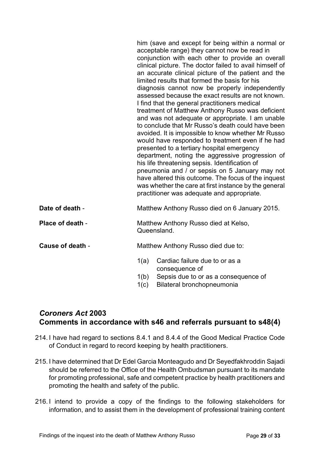|                  | him (save and except for being within a normal or<br>acceptable range) they cannot now be read in<br>conjunction with each other to provide an overall<br>clinical picture. The doctor failed to avail himself of<br>an accurate clinical picture of the patient and the<br>limited results that formed the basis for his<br>diagnosis cannot now be properly independently<br>assessed because the exact results are not known.<br>I find that the general practitioners medical<br>treatment of Matthew Anthony Russo was deficient<br>and was not adequate or appropriate. I am unable<br>to conclude that Mr Russo's death could have been<br>avoided. It is impossible to know whether Mr Russo<br>would have responded to treatment even if he had<br>presented to a tertiary hospital emergency<br>department, noting the aggressive progression of<br>his life threatening sepsis. Identification of<br>pneumonia and / or sepsis on 5 January may not<br>have altered this outcome. The focus of the inquest<br>was whether the care at first instance by the general<br>practitioner was adequate and appropriate. |
|------------------|------------------------------------------------------------------------------------------------------------------------------------------------------------------------------------------------------------------------------------------------------------------------------------------------------------------------------------------------------------------------------------------------------------------------------------------------------------------------------------------------------------------------------------------------------------------------------------------------------------------------------------------------------------------------------------------------------------------------------------------------------------------------------------------------------------------------------------------------------------------------------------------------------------------------------------------------------------------------------------------------------------------------------------------------------------------------------------------------------------------------------|
| Date of death -  | Matthew Anthony Russo died on 6 January 2015.                                                                                                                                                                                                                                                                                                                                                                                                                                                                                                                                                                                                                                                                                                                                                                                                                                                                                                                                                                                                                                                                                |
| Place of death - | Matthew Anthony Russo died at Kelso,<br>Queensland.                                                                                                                                                                                                                                                                                                                                                                                                                                                                                                                                                                                                                                                                                                                                                                                                                                                                                                                                                                                                                                                                          |
| Cause of death - | Matthew Anthony Russo died due to:                                                                                                                                                                                                                                                                                                                                                                                                                                                                                                                                                                                                                                                                                                                                                                                                                                                                                                                                                                                                                                                                                           |
|                  | Cardiac failure due to or as a<br>1(a)<br>consequence of<br>1(b)<br>Sepsis due to or as a consequence of<br>Bilateral bronchopneumonia<br>1(c)                                                                                                                                                                                                                                                                                                                                                                                                                                                                                                                                                                                                                                                                                                                                                                                                                                                                                                                                                                               |

## <span id="page-31-0"></span>*Coroners Act* **2003 Comments in accordance with s46 and referrals pursuant to s48(4)**

- 214. I have had regard to sections 8.4.1 and 8.4.4 of the Good Medical Practice Code of Conduct in regard to record keeping by health practitioners.
- 215. I have determined that Dr Edel Garcia Monteagudo and Dr Seyedfakhroddin Sajadi should be referred to the Office of the Health Ombudsman pursuant to its mandate for promoting professional, safe and competent practice by health practitioners and promoting the health and safety of the public.
- 216. I intend to provide a copy of the findings to the following stakeholders for information, and to assist them in the development of professional training content